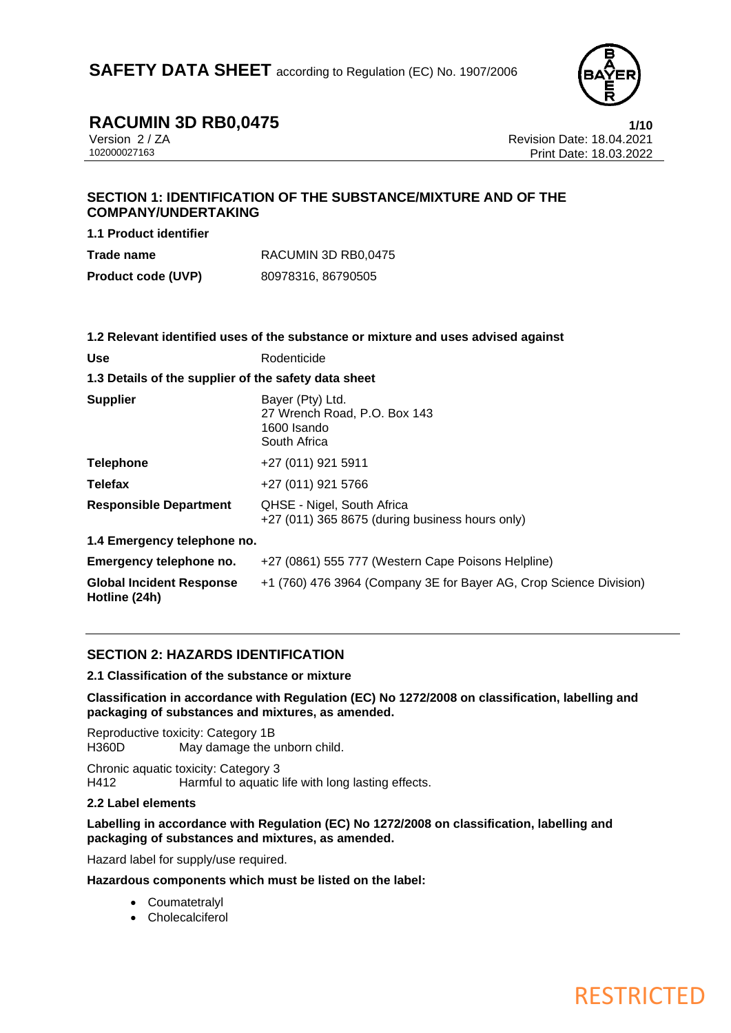

**RESTRICTED** 

**RACUMIN 3D RB0,0475**<br>Version 2/ZA **1/10**<br>Revision Date: 18.04.2021 Version 2 / ZA Revision Date: 18.04.2021 Print Date: 18.03.2022

### **SECTION 1: IDENTIFICATION OF THE SUBSTANCE/MIXTURE AND OF THE COMPANY/UNDERTAKING**

**1.1 Product identifier**

| Trade name                | RACUMIN 3D RB0,0475 |
|---------------------------|---------------------|
| <b>Product code (UVP)</b> | 80978316, 86790505  |

|                                                      | 1.2 Relevant identified uses of the substance or mixture and uses advised against |  |
|------------------------------------------------------|-----------------------------------------------------------------------------------|--|
| Use                                                  | Rodenticide                                                                       |  |
| 1.3 Details of the supplier of the safety data sheet |                                                                                   |  |
| <b>Supplier</b>                                      | Bayer (Pty) Ltd.<br>27 Wrench Road, P.O. Box 143<br>1600 Isando<br>South Africa   |  |
| Telephone                                            | +27 (011) 921 5911                                                                |  |
| Telefax                                              | +27 (011) 921 5766                                                                |  |
| <b>Responsible Department</b>                        | QHSE - Nigel, South Africa<br>+27 (011) 365 8675 (during business hours only)     |  |
| 1.4 Emergency telephone no.                          |                                                                                   |  |
| Emergency telephone no.                              | +27 (0861) 555 777 (Western Cape Poisons Helpline)                                |  |
| <b>Global Incident Response</b><br>Hotline (24h)     | +1 (760) 476 3964 (Company 3E for Bayer AG, Crop Science Division)                |  |

#### **SECTION 2: HAZARDS IDENTIFICATION**

**2.1 Classification of the substance or mixture**

**Classification in accordance with Regulation (EC) No 1272/2008 on classification, labelling and packaging of substances and mixtures, as amended.**

Reproductive toxicity: Category 1B H360D May damage the unborn child.

Chronic aquatic toxicity: Category 3 H412 Harmful to aquatic life with long lasting effects.

#### **2.2 Label elements**

**Labelling in accordance with Regulation (EC) No 1272/2008 on classification, labelling and packaging of substances and mixtures, as amended.**

Hazard label for supply/use required.

**Hazardous components which must be listed on the label:**

- Coumatetralyl
- Cholecalciferol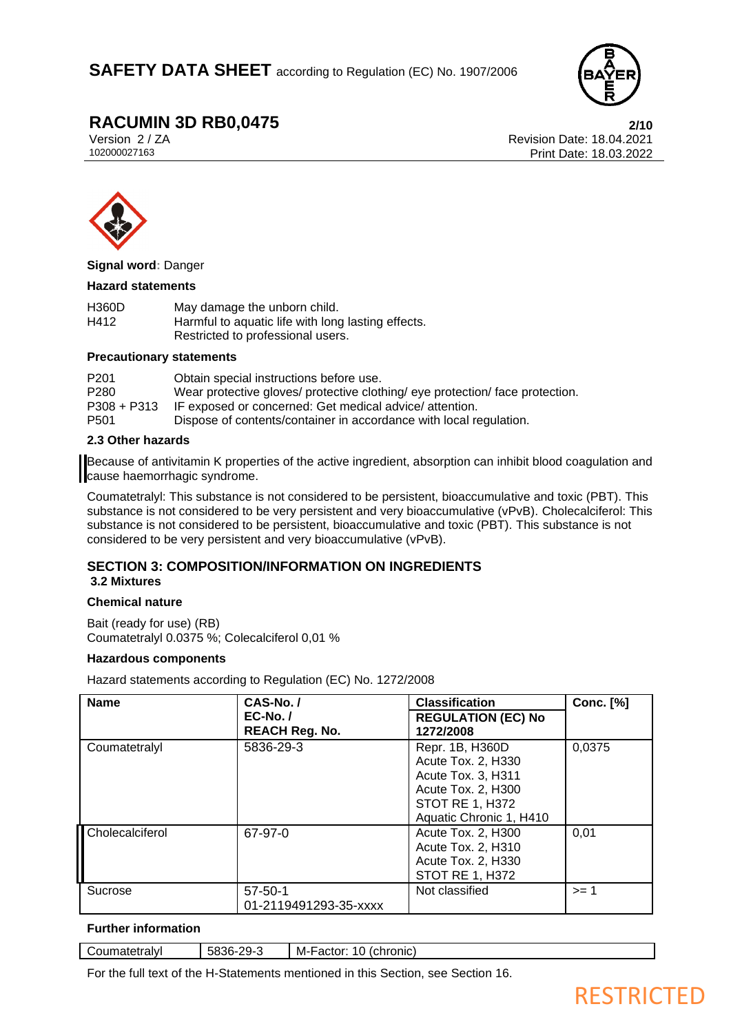

**RACUMIN 3D RB0,0475**<br>Version 2/ZA<br>**Revision Date: 18.04.2021** Version 2 / ZA Revision Date: 18.04.2021 Print Date: 18.03.2022



**Signal word:** Danger

#### **Hazard statements**

| <b>H360D</b> | May damage the unborn child.                       |
|--------------|----------------------------------------------------|
| H412         | Harmful to aquatic life with long lasting effects. |
|              | Restricted to professional users.                  |

#### **Precautionary statements**

| P <sub>201</sub> | Obtain special instructions before use.                                       |
|------------------|-------------------------------------------------------------------------------|
| P <sub>280</sub> | Wear protective gloves/ protective clothing/ eye protection/ face protection. |
| $P308 + P313$    | IF exposed or concerned: Get medical advice/ attention.                       |
| P <sub>501</sub> | Dispose of contents/container in accordance with local regulation.            |

#### **2.3 Other hazards**

Because of antivitamin K properties of the active ingredient, absorption can inhibit blood coagulation and cause haemorrhagic syndrome.

Coumatetralyl: This substance is not considered to be persistent, bioaccumulative and toxic (PBT). This substance is not considered to be very persistent and very bioaccumulative (vPvB). Cholecalciferol: This substance is not considered to be persistent, bioaccumulative and toxic (PBT). This substance is not considered to be very persistent and very bioaccumulative (vPvB).

#### **SECTION 3: COMPOSITION/INFORMATION ON INGREDIENTS 3.2 Mixtures**

#### **Chemical nature**

Bait (ready for use) (RB) Coumatetralyl 0.0375 %; Colecalciferol 0,01 %

#### **Hazardous components**

Hazard statements according to Regulation (EC) No. 1272/2008

| <b>Name</b>     | CAS-No./<br>$EC-No.$<br><b>REACH Reg. No.</b> | <b>Classification</b><br><b>REGULATION (EC) No</b><br>1272/2008                                                                        | <b>Conc.</b> [%] |
|-----------------|-----------------------------------------------|----------------------------------------------------------------------------------------------------------------------------------------|------------------|
| Coumatetralyl   | 5836-29-3                                     | Repr. 1B, H360D<br>Acute Tox. 2, H330<br>Acute Tox. 3, H311<br>Acute Tox. 2, H300<br><b>STOT RE 1, H372</b><br>Aquatic Chronic 1, H410 | 0,0375           |
| Cholecalciferol | 67-97-0                                       | Acute Tox. 2, H300<br>Acute Tox. 2, H310<br>Acute Tox. 2, H330<br><b>STOT RE 1, H372</b>                                               | 0,01             |
| Sucrose         | $57 - 50 - 1$<br>01-2119491293-35-xxxx        | Not classified                                                                                                                         | >= 1             |

#### **Further information**

| Coumatetralvl | -5836-.<br>າ໑-<br>— <i></i> | (chronic)<br>10<br>M-Factor: |
|---------------|-----------------------------|------------------------------|
|               |                             |                              |

For the full text of the H-Statements mentioned in this Section, see Section 16.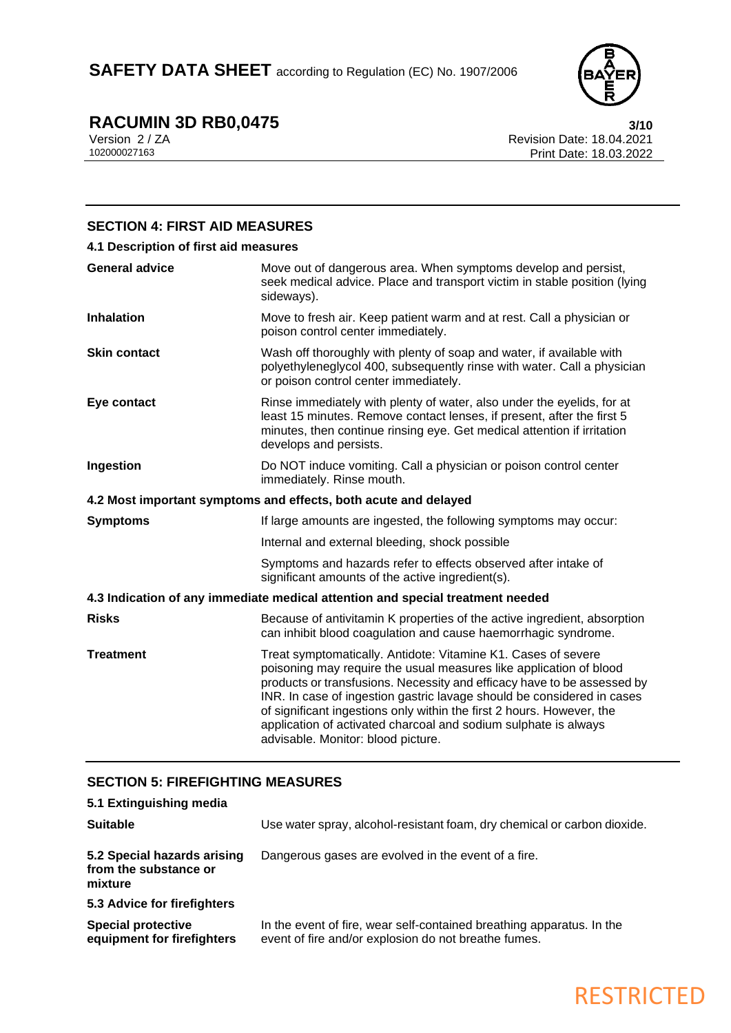

# **RACUMIN 3D RB0,0475 3/10**

Version 2 / ZA Revision Date: 18.04.2021 Print Date: 18.03.2022

### **SECTION 4: FIRST AID MEASURES 4.1 Description of first aid measures General advice** Move out of dangerous area. When symptoms develop and persist, seek medical advice. Place and transport victim in stable position (lying sideways). **Inhalation** Move to fresh air. Keep patient warm and at rest. Call a physician or poison control center immediately. **Skin contact** Wash off thoroughly with plenty of soap and water, if available with polyethyleneglycol 400, subsequently rinse with water. Call a physician or poison control center immediately. **Eye contact** Rinse immediately with plenty of water, also under the eyelids, for at least 15 minutes. Remove contact lenses, if present, after the first 5 minutes, then continue rinsing eye. Get medical attention if irritation develops and persists. **Ingestion Do NOT** induce vomiting. Call a physician or poison control center immediately. Rinse mouth. **4.2 Most important symptoms and effects, both acute and delayed Symptoms** If large amounts are ingested, the following symptoms may occur: Internal and external bleeding, shock possible Symptoms and hazards refer to effects observed after intake of significant amounts of the active ingredient(s). **4.3 Indication of any immediate medical attention and special treatment needed Risks** Because of antivitamin K properties of the active ingredient, absorption can inhibit blood coagulation and cause haemorrhagic syndrome. **Treatment** Treat symptomatically. Antidote: Vitamine K1. Cases of severe poisoning may require the usual measures like application of blood products or transfusions. Necessity and efficacy have to be assessed by INR. In case of ingestion gastric lavage should be considered in cases of significant ingestions only within the first 2 hours. However, the application of activated charcoal and sodium sulphate is always advisable. Monitor: blood picture.

### **SECTION 5: FIREFIGHTING MEASURES**

| 5.1 Extinguishing media                                         |                                                                                                                               |
|-----------------------------------------------------------------|-------------------------------------------------------------------------------------------------------------------------------|
| <b>Suitable</b>                                                 | Use water spray, alcohol-resistant foam, dry chemical or carbon dioxide.                                                      |
| 5.2 Special hazards arising<br>from the substance or<br>mixture | Dangerous gases are evolved in the event of a fire.                                                                           |
| 5.3 Advice for firefighters                                     |                                                                                                                               |
| <b>Special protective</b><br>equipment for firefighters         | In the event of fire, wear self-contained breathing apparatus. In the<br>event of fire and/or explosion do not breathe fumes. |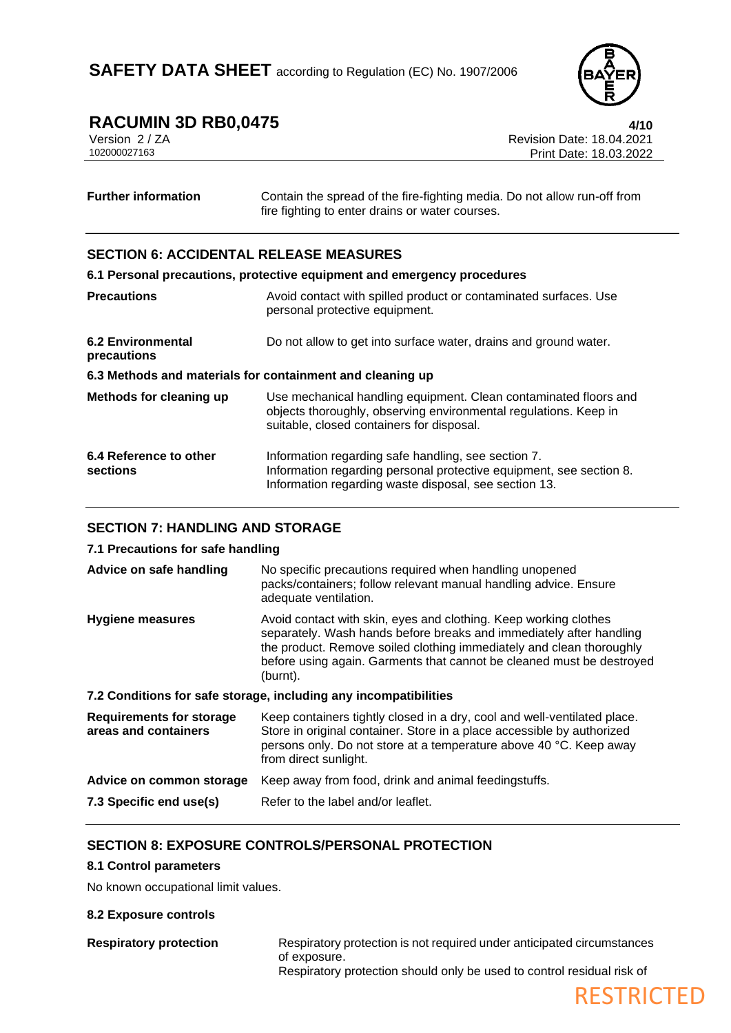

# **RACUMIN 3D RB0,0475**<br>Version 2/ZA **110**<br>Revision Date: 18.04.2021

Version 2 / ZA Revision Date: 18.04.2021 Print Date: 18.03.2022

| <b>Further information</b> | Contain the spread of the fire-fighting media. Do not allow run-off from |
|----------------------------|--------------------------------------------------------------------------|
|                            | fire fighting to enter drains or water courses.                          |

#### **SECTION 6: ACCIDENTAL RELEASE MEASURES**

#### **6.1 Personal precautions, protective equipment and emergency procedures Precautions Avoid contact with spilled product or contaminated surfaces. Use** personal protective equipment. **6.2 Environmental precautions** Do not allow to get into surface water, drains and ground water. **6.3 Methods and materials for containment and cleaning up**

| Methods for cleaning up            | Use mechanical handling equipment. Clean contaminated floors and<br>objects thoroughly, observing environmental regulations. Keep in<br>suitable, closed containers for disposal.   |
|------------------------------------|-------------------------------------------------------------------------------------------------------------------------------------------------------------------------------------|
| 6.4 Reference to other<br>sections | Information regarding safe handling, see section 7.<br>Information regarding personal protective equipment, see section 8.<br>Information regarding waste disposal, see section 13. |

#### **SECTION 7: HANDLING AND STORAGE**

#### **7.1 Precautions for safe handling**

| Advice on safe handling                                 | No specific precautions required when handling unopened<br>packs/containers; follow relevant manual handling advice. Ensure<br>adequate ventilation.                                                                                                                                                 |
|---------------------------------------------------------|------------------------------------------------------------------------------------------------------------------------------------------------------------------------------------------------------------------------------------------------------------------------------------------------------|
| <b>Hygiene measures</b>                                 | Avoid contact with skin, eyes and clothing. Keep working clothes<br>separately. Wash hands before breaks and immediately after handling<br>the product. Remove soiled clothing immediately and clean thoroughly<br>before using again. Garments that cannot be cleaned must be destroyed<br>(burnt). |
|                                                         | 7.2 Conditions for safe storage, including any incompatibilities                                                                                                                                                                                                                                     |
| <b>Requirements for storage</b><br>areas and containers | Keep containers tightly closed in a dry, cool and well-ventilated place.<br>Store in original container. Store in a place accessible by authorized<br>persons only. Do not store at a temperature above 40 °C. Keep away                                                                             |

### from direct sunlight. **Advice on common storage** Keep away from food, drink and animal feedingstuffs.

**7.3 Specific end use(s)** Refer to the label and/or leaflet.

#### **SECTION 8: EXPOSURE CONTROLS/PERSONAL PROTECTION**

#### **8.1 Control parameters**

No known occupational limit values.

#### **8.2 Exposure controls**

**Respiratory protection** Respiratory protection is not required under anticipated circumstances of exposure. Respiratory protection should only be used to control residual risk of

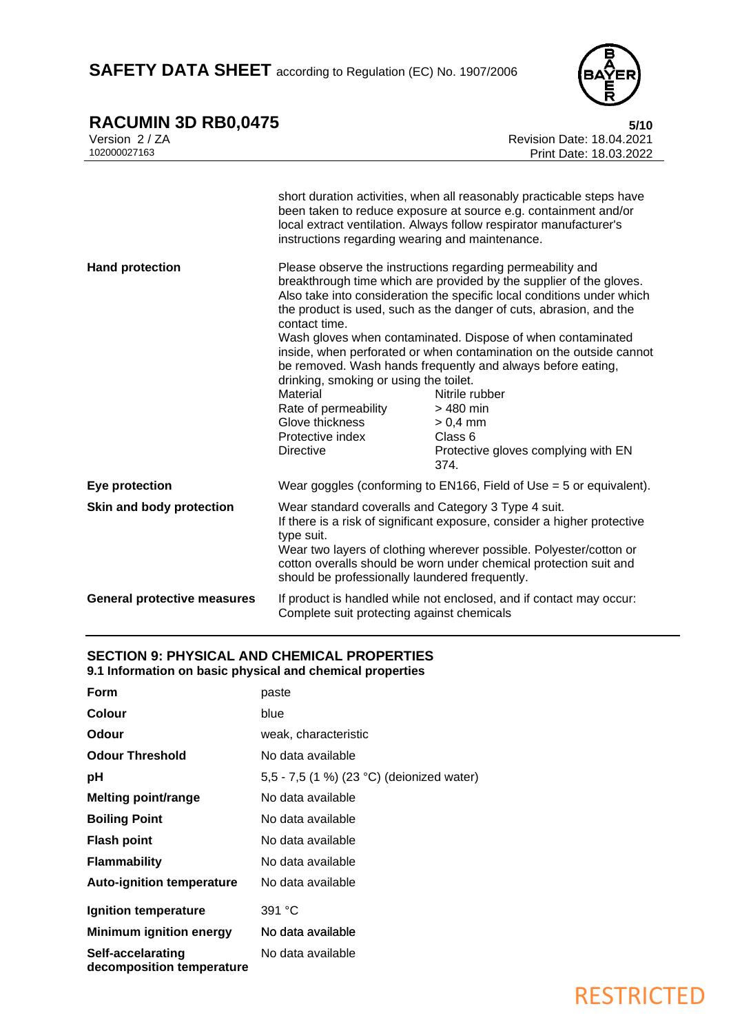SAFETY DATA SHEET according to Regulation (EC) No. 1907/2006



### **RACUMIN 3D RB0,0475 5/10**

| RACUMIN 3D RB0,0475                |                                                                                                                                                                                                                                                                                                                                            | 5/10                                                                                                                                                                                                                                                                                                                                                                                                                                                                                                                                                                                          |
|------------------------------------|--------------------------------------------------------------------------------------------------------------------------------------------------------------------------------------------------------------------------------------------------------------------------------------------------------------------------------------------|-----------------------------------------------------------------------------------------------------------------------------------------------------------------------------------------------------------------------------------------------------------------------------------------------------------------------------------------------------------------------------------------------------------------------------------------------------------------------------------------------------------------------------------------------------------------------------------------------|
| Version 2 / ZA                     |                                                                                                                                                                                                                                                                                                                                            | Revision Date: 18.04.2021                                                                                                                                                                                                                                                                                                                                                                                                                                                                                                                                                                     |
| 102000027163                       |                                                                                                                                                                                                                                                                                                                                            | Print Date: 18.03.2022                                                                                                                                                                                                                                                                                                                                                                                                                                                                                                                                                                        |
|                                    |                                                                                                                                                                                                                                                                                                                                            |                                                                                                                                                                                                                                                                                                                                                                                                                                                                                                                                                                                               |
|                                    | instructions regarding wearing and maintenance.                                                                                                                                                                                                                                                                                            | short duration activities, when all reasonably practicable steps have<br>been taken to reduce exposure at source e.g. containment and/or<br>local extract ventilation. Always follow respirator manufacturer's                                                                                                                                                                                                                                                                                                                                                                                |
| <b>Hand protection</b>             | contact time.<br>drinking, smoking or using the toilet.<br>Material<br>Rate of permeability<br>Glove thickness<br>Protective index<br><b>Directive</b>                                                                                                                                                                                     | Please observe the instructions regarding permeability and<br>breakthrough time which are provided by the supplier of the gloves.<br>Also take into consideration the specific local conditions under which<br>the product is used, such as the danger of cuts, abrasion, and the<br>Wash gloves when contaminated. Dispose of when contaminated<br>inside, when perforated or when contamination on the outside cannot<br>be removed. Wash hands frequently and always before eating,<br>Nitrile rubber<br>> 480 min<br>$> 0.4$ mm<br>Class 6<br>Protective gloves complying with EN<br>374. |
| Eye protection                     |                                                                                                                                                                                                                                                                                                                                            | Wear goggles (conforming to EN166, Field of Use $=$ 5 or equivalent).                                                                                                                                                                                                                                                                                                                                                                                                                                                                                                                         |
| Skin and body protection           | Wear standard coveralls and Category 3 Type 4 suit.<br>If there is a risk of significant exposure, consider a higher protective<br>type suit.<br>Wear two layers of clothing wherever possible. Polyester/cotton or<br>cotton overalls should be worn under chemical protection suit and<br>should be professionally laundered frequently. |                                                                                                                                                                                                                                                                                                                                                                                                                                                                                                                                                                                               |
| <b>General protective measures</b> | Complete suit protecting against chemicals                                                                                                                                                                                                                                                                                                 | If product is handled while not enclosed, and if contact may occur:                                                                                                                                                                                                                                                                                                                                                                                                                                                                                                                           |

#### **SECTION 9: PHYSICAL AND CHEMICAL PROPERTIES**

**9.1 Information on basic physical and chemical properties**

| Form                                           | paste                                     |
|------------------------------------------------|-------------------------------------------|
| <b>Colour</b>                                  | blue                                      |
| Odour                                          | weak, characteristic                      |
| <b>Odour Threshold</b>                         | No data available                         |
| рH                                             | 5,5 - 7,5 (1 %) (23 °C) (deionized water) |
| <b>Melting point/range</b>                     | No data available                         |
| <b>Boiling Point</b>                           | No data available                         |
| <b>Flash point</b>                             | No data available                         |
| <b>Flammability</b>                            | No data available                         |
| <b>Auto-ignition temperature</b>               | No data available                         |
| Ignition temperature                           | 391 °C                                    |
| <b>Minimum ignition energy</b>                 | No data available                         |
| Self-accelarating<br>decomposition temperature | No data available                         |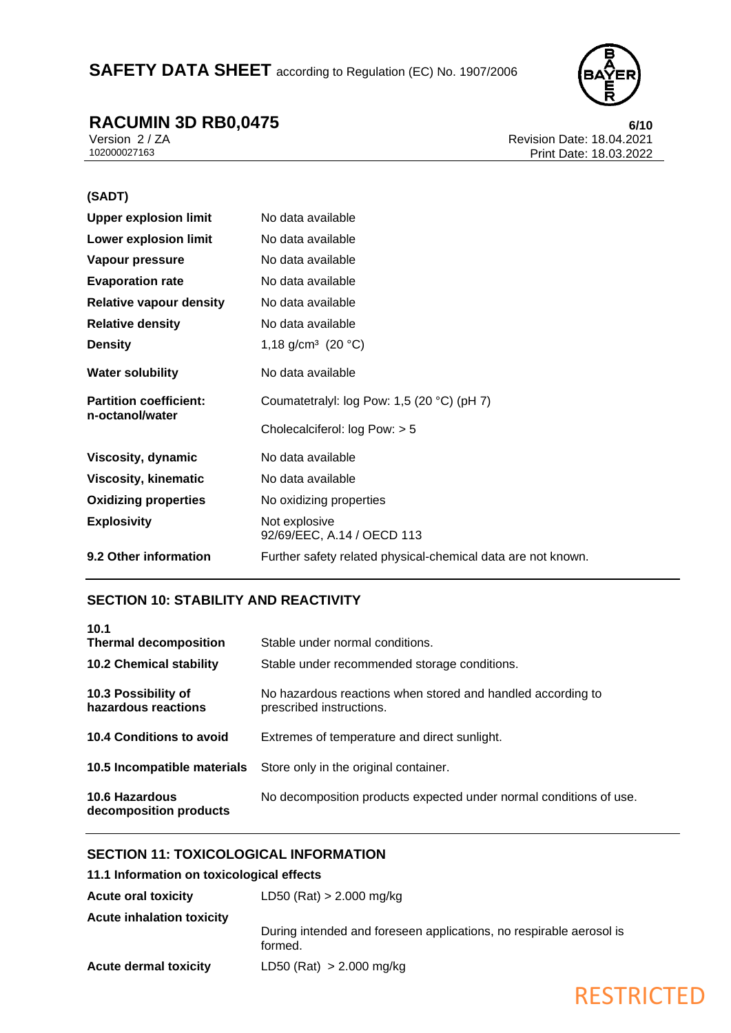### SAFETY DATA SHEET according to Regulation (EC) No. 1907/2006



**RACUMIN 3D RB0,0475 6/10**<br>Version 2/ZA **18.04.2021** Version 2 / ZA Revision Date: 18.04.2021 Print Date: 18.03.2022

#### **(SADT)**

| <b>Upper explosion limit</b>   | No data available                                            |
|--------------------------------|--------------------------------------------------------------|
| <b>Lower explosion limit</b>   | No data available                                            |
| Vapour pressure                | No data available                                            |
| <b>Evaporation rate</b>        | No data available                                            |
| <b>Relative vapour density</b> | No data available                                            |
| <b>Relative density</b>        | No data available                                            |
| <b>Density</b>                 | 1,18 g/cm <sup>3</sup> (20 °C)                               |
| <b>Water solubility</b>        | No data available                                            |
| <b>Partition coefficient:</b>  | Coumatetralyl: log Pow: 1,5 (20 $^{\circ}$ C) (pH 7)         |
| n-octanol/water                | Cholecalciferol: $log Pow: > 5$                              |
| Viscosity, dynamic             | No data available                                            |
| <b>Viscosity, kinematic</b>    | No data available                                            |
| <b>Oxidizing properties</b>    | No oxidizing properties                                      |
| <b>Explosivity</b>             | Not explosive<br>92/69/EEC, A.14 / OECD 113                  |
| 9.2 Other information          | Further safety related physical-chemical data are not known. |

### **SECTION 10: STABILITY AND REACTIVITY**

| 10.1                                            |                                                                                         |
|-------------------------------------------------|-----------------------------------------------------------------------------------------|
| <b>Thermal decomposition</b>                    | Stable under normal conditions.                                                         |
| <b>10.2 Chemical stability</b>                  | Stable under recommended storage conditions.                                            |
| 10.3 Possibility of<br>hazardous reactions      | No hazardous reactions when stored and handled according to<br>prescribed instructions. |
| 10.4 Conditions to avoid                        | Extremes of temperature and direct sunlight.                                            |
|                                                 | <b>10.5 Incompatible materials</b> Store only in the original container.                |
| <b>10.6 Hazardous</b><br>decomposition products | No decomposition products expected under normal conditions of use.                      |

### **SECTION 11: TOXICOLOGICAL INFORMATION**

#### **11.1 Information on toxicological effects**

| <b>Acute oral toxicity</b>       | $LD50$ (Rat) > 2.000 mg/kg                                                     |
|----------------------------------|--------------------------------------------------------------------------------|
| <b>Acute inhalation toxicity</b> | During intended and foreseen applications, no respirable aerosol is<br>formed. |
| <b>Acute dermal toxicity</b>     | LD50 (Rat) $> 2.000$ mg/kg                                                     |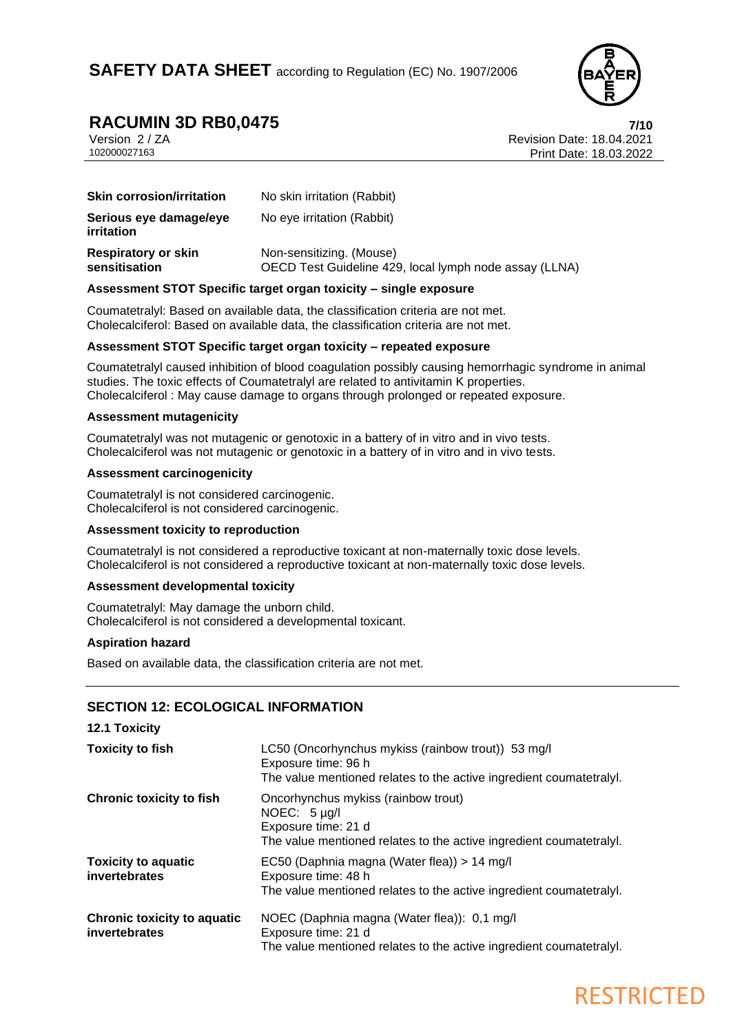

**RACUMIN 3D RB0,0475**<br>Version 2/ZA<br>**Revision Date: 18.04.2021** Version 2 / ZA Revision Date: 18.04.2021 Print Date: 18.03.2022

| <b>Skin corrosion/irritation</b>            | No skin irritation (Rabbit)                                                        |
|---------------------------------------------|------------------------------------------------------------------------------------|
| Serious eye damage/eye<br>irritation        | No eye irritation (Rabbit)                                                         |
| <b>Respiratory or skin</b><br>sensitisation | Non-sensitizing. (Mouse)<br>OECD Test Guideline 429, local lymph node assay (LLNA) |

#### **Assessment STOT Specific target organ toxicity – single exposure**

Coumatetralyl: Based on available data, the classification criteria are not met. Cholecalciferol: Based on available data, the classification criteria are not met.

#### **Assessment STOT Specific target organ toxicity – repeated exposure**

Coumatetralyl caused inhibition of blood coagulation possibly causing hemorrhagic syndrome in animal studies. The toxic effects of Coumatetralyl are related to antivitamin K properties. Cholecalciferol : May cause damage to organs through prolonged or repeated exposure.

#### **Assessment mutagenicity**

Coumatetralyl was not mutagenic or genotoxic in a battery of in vitro and in vivo tests. Cholecalciferol was not mutagenic or genotoxic in a battery of in vitro and in vivo tests.

#### **Assessment carcinogenicity**

Coumatetralyl is not considered carcinogenic. Cholecalciferol is not considered carcinogenic.

#### **Assessment toxicity to reproduction**

Coumatetralyl is not considered a reproductive toxicant at non-maternally toxic dose levels. Cholecalciferol is not considered a reproductive toxicant at non-maternally toxic dose levels.

#### **Assessment developmental toxicity**

Coumatetralyl: May damage the unborn child. Cholecalciferol is not considered a developmental toxicant.

#### **Aspiration hazard**

**12.1 Toxicity**

Based on available data, the classification criteria are not met.

#### **SECTION 12: ECOLOGICAL INFORMATION**

| 12.1 LOXICITY                                       |                                                                                                                                                       |
|-----------------------------------------------------|-------------------------------------------------------------------------------------------------------------------------------------------------------|
| <b>Toxicity to fish</b>                             | LC50 (Oncorhynchus mykiss (rainbow trout)) 53 mg/l<br>Exposure time: 96 h<br>The value mentioned relates to the active ingredient coumatetraly.       |
| <b>Chronic toxicity to fish</b>                     | Oncorhynchus mykiss (rainbow trout)<br>NOEC: $5 \mu g/l$<br>Exposure time: 21 d<br>The value mentioned relates to the active ingredient coumatetraly. |
| <b>Toxicity to aquatic</b><br><b>invertebrates</b>  | EC50 (Daphnia magna (Water flea)) > 14 mg/l<br>Exposure time: 48 h<br>The value mentioned relates to the active ingredient coumatetraly.              |
| <b>Chronic toxicity to aquatic</b><br>invertebrates | NOEC (Daphnia magna (Water flea)): 0,1 mg/l<br>Exposure time: 21 d<br>The value mentioned relates to the active ingredient coumatetraly.              |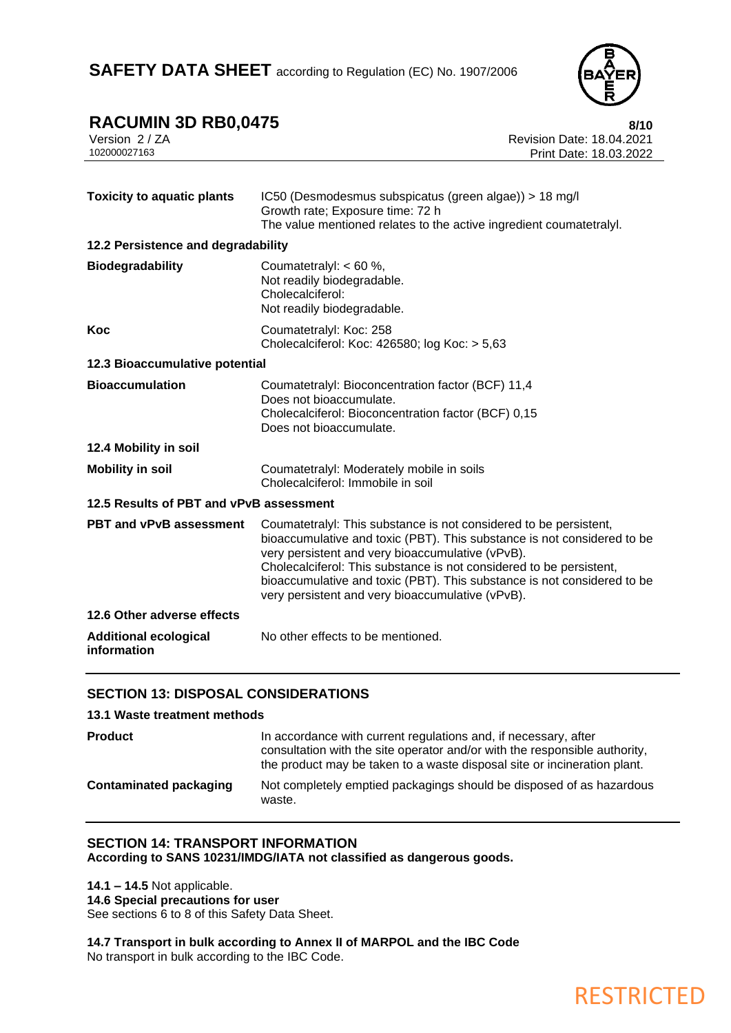

| <b>RACUMIN 3D RB0,0475</b> | 8/10                             |
|----------------------------|----------------------------------|
| Version 2/ZA               | <b>Revision Date: 18.04.2021</b> |
| 102000027163               | Print Date: 18.03.2022           |
|                            |                                  |

| <b>Toxicity to aquatic plants</b>           | IC50 (Desmodesmus subspicatus (green algae)) > 18 mg/l<br>Growth rate; Exposure time: 72 h<br>The value mentioned relates to the active ingredient coumatetralyl.                                                                                                                                                                                                                                      |
|---------------------------------------------|--------------------------------------------------------------------------------------------------------------------------------------------------------------------------------------------------------------------------------------------------------------------------------------------------------------------------------------------------------------------------------------------------------|
| 12.2 Persistence and degradability          |                                                                                                                                                                                                                                                                                                                                                                                                        |
| <b>Biodegradability</b>                     | Coumatetralyl: < 60 %,<br>Not readily biodegradable.<br>Cholecalciferol:<br>Not readily biodegradable.                                                                                                                                                                                                                                                                                                 |
| Koc                                         | Coumatetralyl: Koc: 258<br>Cholecalciferol: Koc: 426580; log Koc: > 5,63                                                                                                                                                                                                                                                                                                                               |
| 12.3 Bioaccumulative potential              |                                                                                                                                                                                                                                                                                                                                                                                                        |
| <b>Bioaccumulation</b>                      | Coumatetralyl: Bioconcentration factor (BCF) 11,4<br>Does not bioaccumulate.<br>Cholecalciferol: Bioconcentration factor (BCF) 0,15<br>Does not bioaccumulate.                                                                                                                                                                                                                                         |
| 12.4 Mobility in soil                       |                                                                                                                                                                                                                                                                                                                                                                                                        |
| <b>Mobility in soil</b>                     | Coumatetralyl: Moderately mobile in soils<br>Cholecalciferol: Immobile in soil                                                                                                                                                                                                                                                                                                                         |
| 12.5 Results of PBT and vPvB assessment     |                                                                                                                                                                                                                                                                                                                                                                                                        |
| PBT and vPvB assessment                     | Coumatetralyl: This substance is not considered to be persistent,<br>bioaccumulative and toxic (PBT). This substance is not considered to be<br>very persistent and very bioaccumulative (vPvB).<br>Cholecalciferol: This substance is not considered to be persistent,<br>bioaccumulative and toxic (PBT). This substance is not considered to be<br>very persistent and very bioaccumulative (vPvB). |
| 12.6 Other adverse effects                  |                                                                                                                                                                                                                                                                                                                                                                                                        |
| <b>Additional ecological</b><br>information | No other effects to be mentioned.                                                                                                                                                                                                                                                                                                                                                                      |

### **SECTION 13: DISPOSAL CONSIDERATIONS**

#### **13.1 Waste treatment methods**

| <b>Product</b>                | In accordance with current regulations and, if necessary, after<br>consultation with the site operator and/or with the responsible authority,<br>the product may be taken to a waste disposal site or incineration plant. |
|-------------------------------|---------------------------------------------------------------------------------------------------------------------------------------------------------------------------------------------------------------------------|
| <b>Contaminated packaging</b> | Not completely emptied packagings should be disposed of as hazardous<br>waste.                                                                                                                                            |

#### **SECTION 14: TRANSPORT INFORMATION According to SANS 10231/IMDG/IATA not classified as dangerous goods.**

**14.1 – 14.5** Not applicable. **14.6 Special precautions for user** See sections 6 to 8 of this Safety Data Sheet.

**14.7 Transport in bulk according to Annex II of MARPOL and the IBC Code** No transport in bulk according to the IBC Code.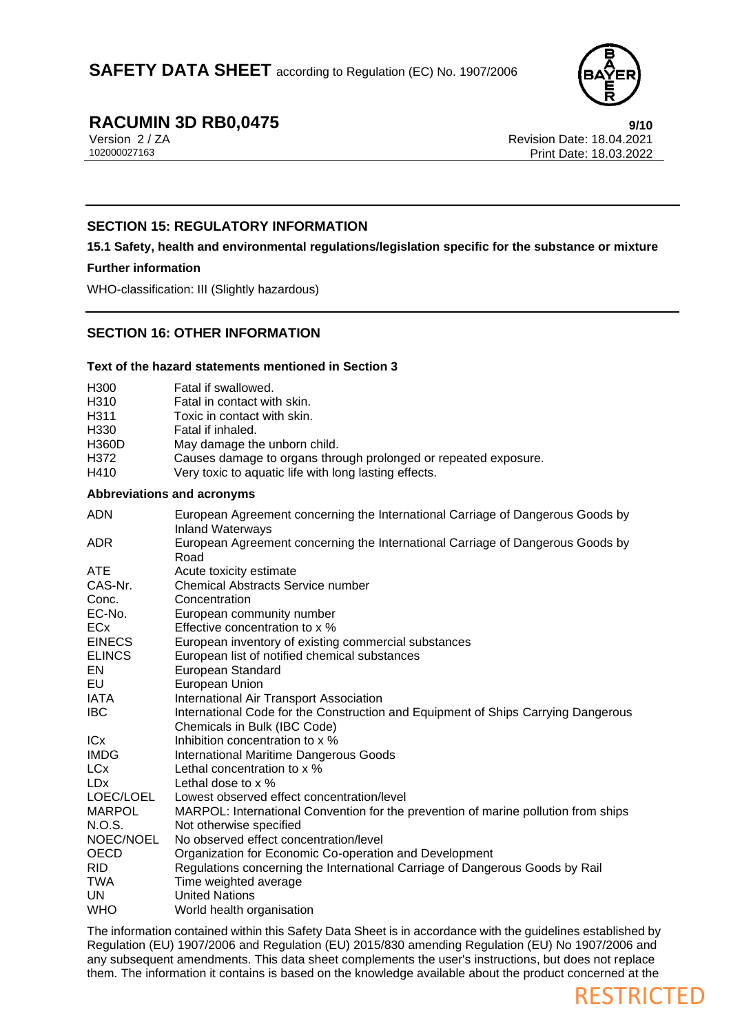

RESTRICTED

# **RACUMIN 3D RB0,0475**<br>Version 2/ZA<br>**Revision Date: 18.04.2021**

Version 2 / ZA Revision Date: 18.04.2021 Print Date: 18.03.2022

#### **SECTION 15: REGULATORY INFORMATION**

#### **15.1 Safety, health and environmental regulations/legislation specific for the substance or mixture**

#### **Further information**

WHO-classification: III (Slightly hazardous)

#### **SECTION 16: OTHER INFORMATION**

### **Text of the hazard statements mentioned in Section 3**

| H300                   | Fatal if swallowed.                                                                                       |
|------------------------|-----------------------------------------------------------------------------------------------------------|
| H310                   | Fatal in contact with skin.                                                                               |
| H311                   | Toxic in contact with skin.                                                                               |
| H330                   | Fatal if inhaled.                                                                                         |
| <b>H360D</b>           | May damage the unborn child.                                                                              |
| H372                   | Causes damage to organs through prolonged or repeated exposure.                                           |
| H410                   | Very toxic to aquatic life with long lasting effects.                                                     |
|                        | <b>Abbreviations and acronyms</b>                                                                         |
| <b>ADN</b>             | European Agreement concerning the International Carriage of Dangerous Goods by<br><b>Inland Waterways</b> |
| <b>ADR</b>             | European Agreement concerning the International Carriage of Dangerous Goods by<br>Road                    |
| <b>ATE</b>             | Acute toxicity estimate                                                                                   |
| CAS-Nr.                | <b>Chemical Abstracts Service number</b>                                                                  |
| Conc.                  | Concentration                                                                                             |
| EC-No.                 | European community number                                                                                 |
| ECx                    | Effective concentration to x %                                                                            |
| <b>EINECS</b>          | European inventory of existing commercial substances                                                      |
| <b>ELINCS</b>          | European list of notified chemical substances                                                             |
| EN                     | European Standard                                                                                         |
| EU                     | European Union                                                                                            |
| IATA                   | International Air Transport Association                                                                   |
| <b>IBC</b>             | International Code for the Construction and Equipment of Ships Carrying Dangerous                         |
|                        | Chemicals in Bulk (IBC Code)                                                                              |
| <b>IC<sub>x</sub></b>  | Inhibition concentration to x %                                                                           |
| <b>IMDG</b>            | <b>International Maritime Dangerous Goods</b>                                                             |
| <b>LC</b> <sub>x</sub> | Lethal concentration to x %                                                                               |
| <b>LD<sub>x</sub></b>  | Lethal dose to $\times$ %                                                                                 |
| LOEC/LOEL              | Lowest observed effect concentration/level                                                                |
| <b>MARPOL</b>          | MARPOL: International Convention for the prevention of marine pollution from ships                        |
| N.O.S.                 | Not otherwise specified                                                                                   |
| NOEC/NOEL              | No observed effect concentration/level                                                                    |
| <b>OECD</b>            | Organization for Economic Co-operation and Development                                                    |
| <b>RID</b>             | Regulations concerning the International Carriage of Dangerous Goods by Rail                              |
| TWA                    | Time weighted average                                                                                     |
| UN                     | <b>United Nations</b>                                                                                     |
| <b>WHO</b>             | World health organisation                                                                                 |

The information contained within this Safety Data Sheet is in accordance with the guidelines established by Regulation (EU) 1907/2006 and Regulation (EU) 2015/830 amending Regulation (EU) No 1907/2006 and any subsequent amendments. This data sheet complements the user's instructions, but does not replace them. The information it contains is based on the knowledge available about the product concerned at the